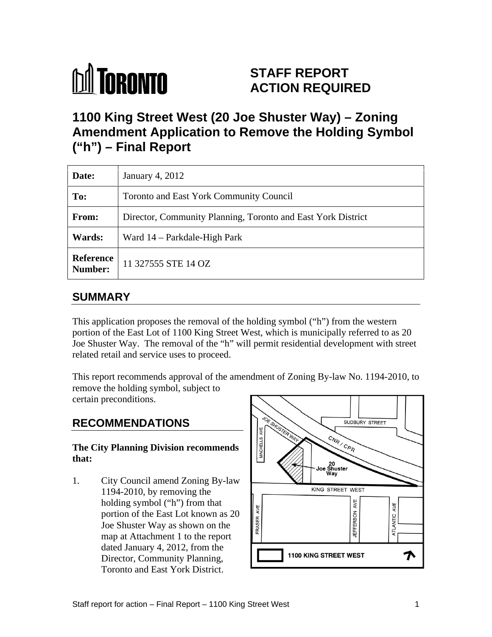

# **STAFF REPORT ACTION REQUIRED**

# **1100 King Street West (20 Joe Shuster Way) – Zoning Amendment Application to Remove the Holding Symbol ("h") – Final Report**

| Date:  | January 4, 2012                                              |
|--------|--------------------------------------------------------------|
| To:    | Toronto and East York Community Council                      |
| From:  | Director, Community Planning, Toronto and East York District |
| Wards: | Ward 14 – Parkdale-High Park                                 |
|        | <b>Reference</b> 11 327555 STE 14 OZ                         |

## **SUMMARY**

This application proposes the removal of the holding symbol ("h") from the western portion of the East Lot of 1100 King Street West, which is municipally referred to as 20 Joe Shuster Way. The removal of the "h" will permit residential development with street related retail and service uses to proceed.

This report recommends approval of the amendment of Zoning By-law No. 1194-2010, to remove the holding symbol, subject to certain preconditions.

Joe Shuster Way as shown on the map at Attachment 1 to the report Director, Community Planning, Toronto and East York District.

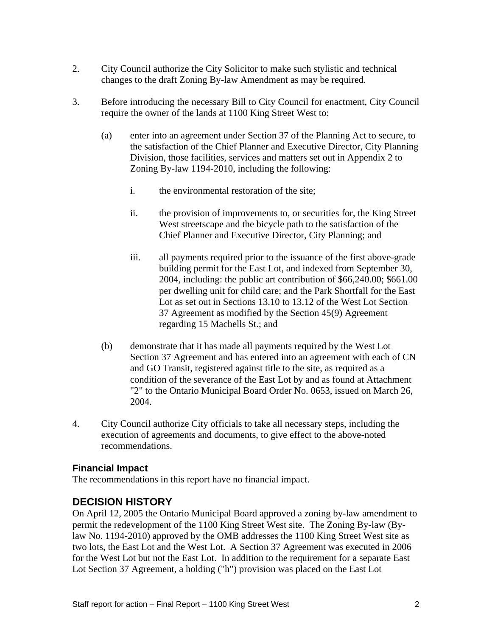- 2. City Council authorize the City Solicitor to make such stylistic and technical changes to the draft Zoning By-law Amendment as may be required.
- 3. Before introducing the necessary Bill to City Council for enactment, City Council require the owner of the lands at 1100 King Street West to:
	- (a) enter into an agreement under Section 37 of the Planning Act to secure, to the satisfaction of the Chief Planner and Executive Director, City Planning Division, those facilities, services and matters set out in Appendix 2 to Zoning By-law 1194-2010, including the following:
		- i. the environmental restoration of the site;
		- ii. the provision of improvements to, or securities for, the King Street West streetscape and the bicycle path to the satisfaction of the Chief Planner and Executive Director, City Planning; and
		- iii. all payments required prior to the issuance of the first above-grade building permit for the East Lot, and indexed from September 30, 2004, including: the public art contribution of \$66,240.00; \$661.00 per dwelling unit for child care; and the Park Shortfall for the East Lot as set out in Sections 13.10 to 13.12 of the West Lot Section 37 Agreement as modified by the Section 45(9) Agreement regarding 15 Machells St.; and
	- (b) demonstrate that it has made all payments required by the West Lot Section 37 Agreement and has entered into an agreement with each of CN and GO Transit, registered against title to the site, as required as a condition of the severance of the East Lot by and as found at Attachment "2" to the Ontario Municipal Board Order No. 0653, issued on March 26, 2004.
- 4. City Council authorize City officials to take all necessary steps, including the execution of agreements and documents, to give effect to the above-noted recommendations.

#### **Financial Impact**

The recommendations in this report have no financial impact.

### **DECISION HISTORY**

On April 12, 2005 the Ontario Municipal Board approved a zoning by-law amendment to permit the redevelopment of the 1100 King Street West site. The Zoning By-law (Bylaw No. 1194-2010) approved by the OMB addresses the 1100 King Street West site as two lots, the East Lot and the West Lot. A Section 37 Agreement was executed in 2006 for the West Lot but not the East Lot. In addition to the requirement for a separate East Lot Section 37 Agreement, a holding ("h") provision was placed on the East Lot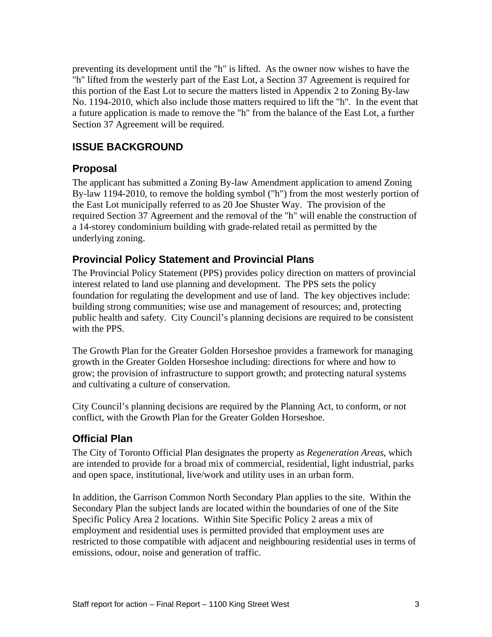preventing its development until the "h" is lifted. As the owner now wishes to have the "h" lifted from the westerly part of the East Lot, a Section 37 Agreement is required for this portion of the East Lot to secure the matters listed in Appendix 2 to Zoning By-law No. 1194-2010, which also include those matters required to lift the "h". In the event that a future application is made to remove the "h" from the balance of the East Lot, a further Section 37 Agreement will be required.

### **ISSUE BACKGROUND**

### **Proposal**

The applicant has submitted a Zoning By-law Amendment application to amend Zoning By-law 1194-2010, to remove the holding symbol ("h") from the most westerly portion of the East Lot municipally referred to as 20 Joe Shuster Way. The provision of the required Section 37 Agreement and the removal of the "h" will enable the construction of a 14-storey condominium building with grade-related retail as permitted by the underlying zoning.

#### **Provincial Policy Statement and Provincial Plans**

The Provincial Policy Statement (PPS) provides policy direction on matters of provincial interest related to land use planning and development. The PPS sets the policy foundation for regulating the development and use of land. The key objectives include: building strong communities; wise use and management of resources; and, protecting public health and safety. City Council's planning decisions are required to be consistent with the PPS.

The Growth Plan for the Greater Golden Horseshoe provides a framework for managing growth in the Greater Golden Horseshoe including: directions for where and how to grow; the provision of infrastructure to support growth; and protecting natural systems and cultivating a culture of conservation.

City Council's planning decisions are required by the Planning Act, to conform, or not conflict, with the Growth Plan for the Greater Golden Horseshoe.

#### **Official Plan**

The City of Toronto Official Plan designates the property as *Regeneration Areas*, which are intended to provide for a broad mix of commercial, residential, light industrial, parks and open space, institutional, live/work and utility uses in an urban form.

In addition, the Garrison Common North Secondary Plan applies to the site. Within the Secondary Plan the subject lands are located within the boundaries of one of the Site Specific Policy Area 2 locations. Within Site Specific Policy 2 areas a mix of employment and residential uses is permitted provided that employment uses are restricted to those compatible with adjacent and neighbouring residential uses in terms of emissions, odour, noise and generation of traffic.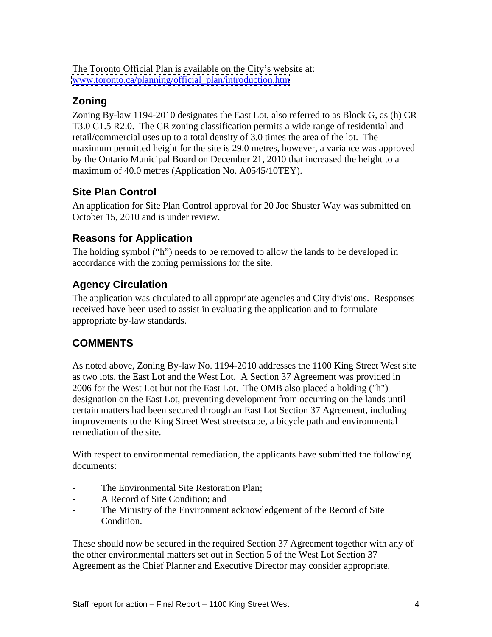The Toronto Official Plan is available on the City's website at: [www.toronto.ca/planning/official\\_plan/introduction.htm](http://www.toronto.ca/planning/official_plan/introduction.htm)

## **Zoning**

Zoning By-law 1194-2010 designates the East Lot, also referred to as Block G, as (h) CR T3.0 C1.5 R2.0. The CR zoning classification permits a wide range of residential and retail/commercial uses up to a total density of 3.0 times the area of the lot. The maximum permitted height for the site is 29.0 metres, however, a variance was approved by the Ontario Municipal Board on December 21, 2010 that increased the height to a maximum of 40.0 metres (Application No. A0545/10TEY).

## **Site Plan Control**

An application for Site Plan Control approval for 20 Joe Shuster Way was submitted on October 15, 2010 and is under review.

## **Reasons for Application**

The holding symbol ("h") needs to be removed to allow the lands to be developed in accordance with the zoning permissions for the site.

## **Agency Circulation**

The application was circulated to all appropriate agencies and City divisions. Responses received have been used to assist in evaluating the application and to formulate appropriate by-law standards.

## **COMMENTS**

As noted above, Zoning By-law No. 1194-2010 addresses the 1100 King Street West site as two lots, the East Lot and the West Lot. A Section 37 Agreement was provided in 2006 for the West Lot but not the East Lot. The OMB also placed a holding ("h") designation on the East Lot, preventing development from occurring on the lands until certain matters had been secured through an East Lot Section 37 Agreement, including improvements to the King Street West streetscape, a bicycle path and environmental remediation of the site.

With respect to environmental remediation, the applicants have submitted the following documents:

- The Environmental Site Restoration Plan;
- A Record of Site Condition; and
- The Ministry of the Environment acknowledgement of the Record of Site Condition.

These should now be secured in the required Section 37 Agreement together with any of the other environmental matters set out in Section 5 of the West Lot Section 37 Agreement as the Chief Planner and Executive Director may consider appropriate.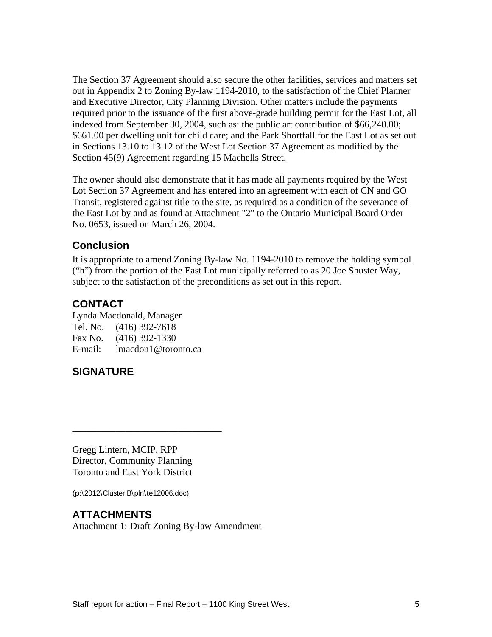The Section 37 Agreement should also secure the other facilities, services and matters set out in Appendix 2 to Zoning By-law 1194-2010, to the satisfaction of the Chief Planner and Executive Director, City Planning Division. Other matters include the payments required prior to the issuance of the first above-grade building permit for the East Lot, all indexed from September 30, 2004, such as: the public art contribution of \$66,240.00; \$661.00 per dwelling unit for child care; and the Park Shortfall for the East Lot as set out in Sections 13.10 to 13.12 of the West Lot Section 37 Agreement as modified by the Section 45(9) Agreement regarding 15 Machells Street.

The owner should also demonstrate that it has made all payments required by the West Lot Section 37 Agreement and has entered into an agreement with each of CN and GO Transit, registered against title to the site, as required as a condition of the severance of the East Lot by and as found at Attachment "2" to the Ontario Municipal Board Order No. 0653, issued on March 26, 2004.

#### **Conclusion**

It is appropriate to amend Zoning By-law No. 1194-2010 to remove the holding symbol ("h") from the portion of the East Lot municipally referred to as 20 Joe Shuster Way, subject to the satisfaction of the preconditions as set out in this report.

### **CONTACT**

Lynda Macdonald, Manager Tel. No. (416) 392-7618 Fax No. (416) 392-1330 E-mail: lmacdon1@toronto.ca

## **SIGNATURE**

Gregg Lintern, MCIP, RPP Director, Community Planning Toronto and East York District

(p:\2012\Cluster B\pln\te12006.doc)

#### **ATTACHMENTS**

Attachment 1: Draft Zoning By-law Amendment

 $\overline{\phantom{a}}$  , we can assume that the contract of  $\overline{\phantom{a}}$  , we can assume that the contract of  $\overline{\phantom{a}}$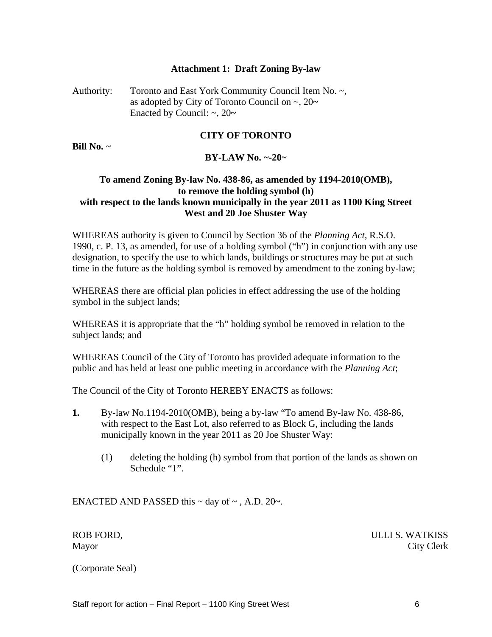#### **Attachment 1: Draft Zoning By-law**

Authority: Toronto and East York Community Council Item No. ~, as adopted by City of Toronto Council on ~, 20**~** Enacted by Council:  $\sim$ , 20 $\sim$ 

#### **CITY OF TORONTO**

**Bill No.** ~

#### **BY-LAW No. ~-20~**

#### **To amend Zoning By-law No. 438-86, as amended by 1194-2010(OMB), to remove the holding symbol (h) with respect to the lands known municipally in the year 2011 as 1100 King Street West and 20 Joe Shuster Way**

WHEREAS authority is given to Council by Section 36 of the *Planning Act*, R.S.O. 1990, c. P. 13, as amended, for use of a holding symbol ("h") in conjunction with any use designation, to specify the use to which lands, buildings or structures may be put at such time in the future as the holding symbol is removed by amendment to the zoning by-law;

WHEREAS there are official plan policies in effect addressing the use of the holding symbol in the subject lands;

WHEREAS it is appropriate that the "h" holding symbol be removed in relation to the subject lands; and subject lands in the subject lands of  $\mathcal{L}$ 

WHEREAS Council of the City of Toronto has provided adequate information to the public and has held at least one public meeting in accordance with the *Planning Act*;

The Council of the City of Toronto HEREBY ENACTS as follows:

- **1.** By-law No.1194-2010(OMB), being a by-law "To amend By-law No. 438-86, with respect to the East Lot, also referred to as Block G, including the lands municipally known in the year 2011 as 20 Joe Shuster Way:
	- (1) deleting the holding (h) symbol from that portion of the lands as shown on Schedule "1".

ENACTED AND PASSED this ~ day of ~ , A.D. 20**~**.

ROB FORD, WATKISS Mayor City Clerk

(Corporate Seal)